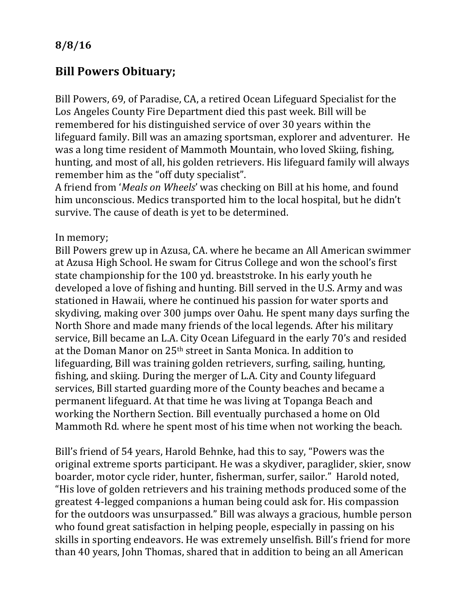**8/8/16**

## **Bill Powers Obituary;**

Bill Powers, 69, of Paradise, CA, a retired Ocean Lifeguard Specialist for the Los Angeles County Fire Department died this past week. Bill will be remembered for his distinguished service of over 30 years within the lifeguard family. Bill was an amazing sportsman, explorer and adventurer. He was a long time resident of Mammoth Mountain, who loved Skiing, fishing, hunting, and most of all, his golden retrievers. His lifeguard family will always remember him as the "off duty specialist".

A friend from '*Meals on Wheels*' was checking on Bill at his home, and found him unconscious. Medics transported him to the local hospital, but he didn't survive. The cause of death is yet to be determined.

In memory;

Bill Powers grew up in Azusa, CA. where he became an All American swimmer at Azusa High School. He swam for Citrus College and won the school's first state championship for the 100 yd. breaststroke. In his early youth he developed a love of fishing and hunting. Bill served in the U.S. Army and was stationed in Hawaii, where he continued his passion for water sports and skydiving, making over 300 jumps over Oahu. He spent many days surfing the North Shore and made many friends of the local legends. After his military service, Bill became an L.A. City Ocean Lifeguard in the early 70's and resided at the Doman Manor on  $25<sup>th</sup>$  street in Santa Monica. In addition to lifeguarding, Bill was training golden retrievers, surfing, sailing, hunting, fishing, and skiing. During the merger of L.A. City and County lifeguard services, Bill started guarding more of the County beaches and became a permanent lifeguard. At that time he was living at Topanga Beach and working the Northern Section. Bill eventually purchased a home on Old Mammoth Rd. where he spent most of his time when not working the beach.

Bill's friend of 54 years, Harold Behnke, had this to say, "Powers was the original extreme sports participant. He was a skydiver, paraglider, skier, snow boarder, motor cycle rider, hunter, fisherman, surfer, sailor." Harold noted, "His love of golden retrievers and his training methods produced some of the greatest 4-legged companions a human being could ask for. His compassion for the outdoors was unsurpassed." Bill was always a gracious, humble person who found great satisfaction in helping people, especially in passing on his skills in sporting endeavors. He was extremely unselfish. Bill's friend for more than 40 years, John Thomas, shared that in addition to being an all American